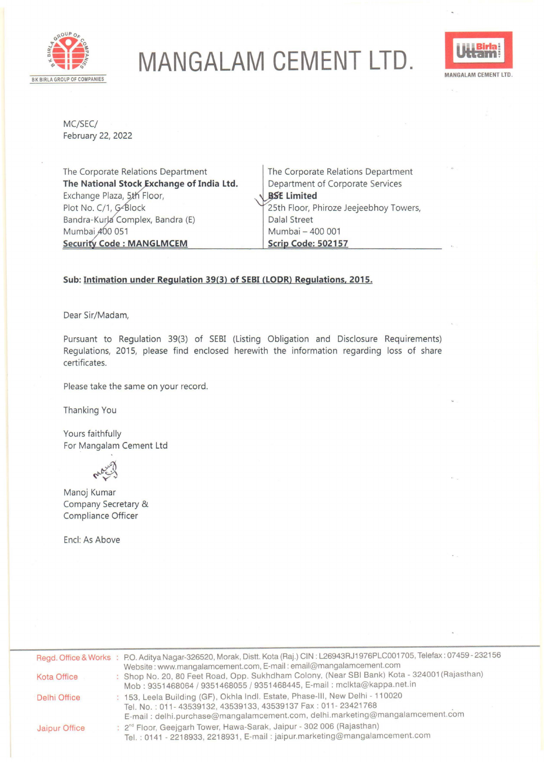

## **MANGALAM CEMENT LTD.**



MC/SEC/ February 22, 2022

The Corporate Relations Department **The National Stock Exchange of India Ltd.** Exchange Plaza, 5th Floor, Plot No. C/1, G-Block Bandra-Kurla Complex, Bandra (E) Mumbai  $A$ 00 051 **Security Code: MANGLMCEM** 

The Corporate Relations Department Department of Corporate Services **Limited** 25th Floor, Phiroze Jeejeebhoy Towers, Dalal Street Mumbai - 400 001 **Scrip Code: 502157** 

## **Sub: Intimation under Regulation 39{3) of SEBI {LODR) Regulations. 2015.**

Dear Sir/Madam,

Pursuant to Regulation 39(3) of SEBI (Listing Obligation and Disclosure Requirements) Regulations, 2015, please find enclosed herewith the information regarding loss of share certificates.

Please take the same on your record.

Thanking You

Yours faithfully For Mangalam Cement Ltd

Mary 2

Manoj Kumar Company Secretary & Compliance Officer

Encl: As Above

|               | Regd. Office & Works : P.O. Aditya Nagar-326520, Morak, Distt. Kota (Raj.) CIN: L26943RJ1976PLC001705, Telefax: 07459 - 232156<br>Website: www.mangalamcement.com, E-mail: email@mangalamcement.com                            |
|---------------|--------------------------------------------------------------------------------------------------------------------------------------------------------------------------------------------------------------------------------|
| Kota Office   | : Shop No. 20, 80 Feet Road, Opp. Sukhdham Colony, (Near SBI Bank) Kota - 324001 (Rajasthan)<br>Mob: 9351468064 / 9351468055 / 9351468445, E-mail: mclkta@kappa.net.in                                                         |
| Delhi Office  | : 153, Leela Building (GF), Okhla Indl. Estate, Phase-III, New Delhi - 110020<br>Tel. No.: 011-43539132, 43539133, 43539137 Fax: 011-23421768<br>E-mail: delhi.purchase@mangalamcement.com, delhi.marketing@mangalamcement.com |
| Jaipur Office | : 2 <sup>nd</sup> Floor, Geejgarh Tower, Hawa-Sarak, Jaipur - 302 006 (Rajasthan)<br>Tel.: 0141 - 2218933, 2218931, E-mail: jaipur.marketing@mangalamcement.com                                                                |